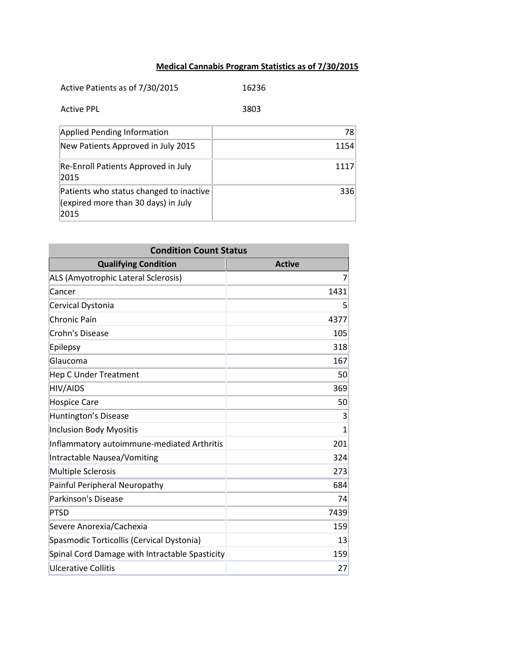## **Medical Cannabis Program Statistics as of 7/30/2015**

| Active Patients as of 7/30/2015                                                        | 16236 |
|----------------------------------------------------------------------------------------|-------|
| Active PPL                                                                             | 3803  |
| <b>Applied Pending Information</b>                                                     | 78    |
| New Patients Approved in July 2015                                                     | 1154  |
| Re-Enroll Patients Approved in July<br>2015                                            | 1117  |
| Patients who status changed to inactive<br>(expired more than 30 days) in July<br>2015 | 336   |

| <b>Condition Count Status</b>                  |               |  |
|------------------------------------------------|---------------|--|
| <b>Qualifying Condition</b>                    | <b>Active</b> |  |
| ALS (Amyotrophic Lateral Sclerosis)            | 7             |  |
| Cancer                                         | 1431          |  |
| Cervical Dystonia                              | 5             |  |
| <b>Chronic Pain</b>                            | 4377          |  |
| Crohn's Disease                                | 105           |  |
| Epilepsy                                       | 318           |  |
| Glaucoma                                       | 167           |  |
| <b>Hep C Under Treatment</b>                   | 50            |  |
| HIV/AIDS                                       | 369           |  |
| <b>Hospice Care</b>                            | 50            |  |
| Huntington's Disease                           | 3             |  |
| <b>Inclusion Body Myositis</b>                 | $\mathbf{1}$  |  |
| Inflammatory autoimmune-mediated Arthritis     | 201           |  |
| Intractable Nausea/Vomiting                    | 324           |  |
| <b>Multiple Sclerosis</b>                      | 273           |  |
| Painful Peripheral Neuropathy                  | 684           |  |
| <b>Parkinson's Disease</b>                     | 74            |  |
| <b>PTSD</b>                                    | 7439          |  |
| Severe Anorexia/Cachexia                       | 159           |  |
| Spasmodic Torticollis (Cervical Dystonia)      | 13            |  |
| Spinal Cord Damage with Intractable Spasticity | 159           |  |
| Ulcerative Collitis                            | 27            |  |